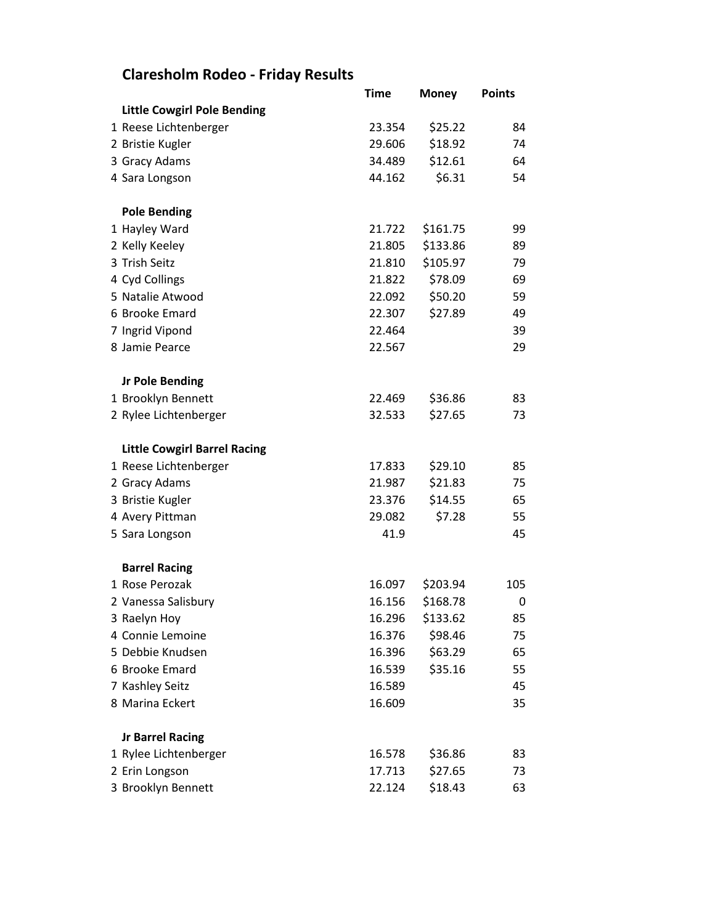## **Claresholm Rodeo - Friday Results**

|                                     | Time   | <b>Money</b> | <b>Points</b> |
|-------------------------------------|--------|--------------|---------------|
| <b>Little Cowgirl Pole Bending</b>  |        |              |               |
| 1 Reese Lichtenberger               | 23.354 | \$25.22      | 84            |
| 2 Bristie Kugler                    | 29.606 | \$18.92      | 74            |
| 3 Gracy Adams                       | 34.489 | \$12.61      | 64            |
| 4 Sara Longson                      | 44.162 | \$6.31       | 54            |
| <b>Pole Bending</b>                 |        |              |               |
| 1 Hayley Ward                       | 21.722 | \$161.75     | 99            |
| 2 Kelly Keeley                      | 21.805 | \$133.86     | 89            |
| 3 Trish Seitz                       | 21.810 | \$105.97     | 79            |
| 4 Cyd Collings                      | 21.822 | \$78.09      | 69            |
| 5 Natalie Atwood                    | 22.092 | \$50.20      | 59            |
| 6 Brooke Emard                      | 22.307 | \$27.89      | 49            |
| 7 Ingrid Vipond                     | 22.464 |              | 39            |
| 8 Jamie Pearce                      | 22.567 |              | 29            |
| <b>Jr Pole Bending</b>              |        |              |               |
| 1 Brooklyn Bennett                  | 22.469 | \$36.86      | 83            |
| 2 Rylee Lichtenberger               | 32.533 | \$27.65      | 73            |
| <b>Little Cowgirl Barrel Racing</b> |        |              |               |
| 1 Reese Lichtenberger               | 17.833 | \$29.10      | 85            |
| 2 Gracy Adams                       | 21.987 | \$21.83      | 75            |
| 3 Bristie Kugler                    | 23.376 | \$14.55      | 65            |
| 4 Avery Pittman                     | 29.082 | \$7.28       | 55            |
| 5 Sara Longson                      | 41.9   |              | 45            |
| <b>Barrel Racing</b>                |        |              |               |
| 1 Rose Perozak                      | 16.097 | \$203.94     | 105           |
| 2 Vanessa Salisbury                 | 16.156 | \$168.78     | 0             |
| 3 Raelyn Hoy                        | 16.296 | \$133.62     | 85            |
| 4 Connie Lemoine                    | 16.376 | \$98.46      | 75            |
| 5 Debbie Knudsen                    | 16.396 | \$63.29      | 65            |
| 6 Brooke Emard                      | 16.539 | \$35.16      | 55            |
| 7 Kashley Seitz                     | 16.589 |              | 45            |
| 8 Marina Eckert                     | 16.609 |              | 35            |
| <b>Jr Barrel Racing</b>             |        |              |               |
| 1 Rylee Lichtenberger               | 16.578 | \$36.86      | 83            |
| 2 Erin Longson                      | 17.713 | \$27.65      | 73            |
| 3 Brooklyn Bennett                  | 22.124 | \$18.43      | 63            |